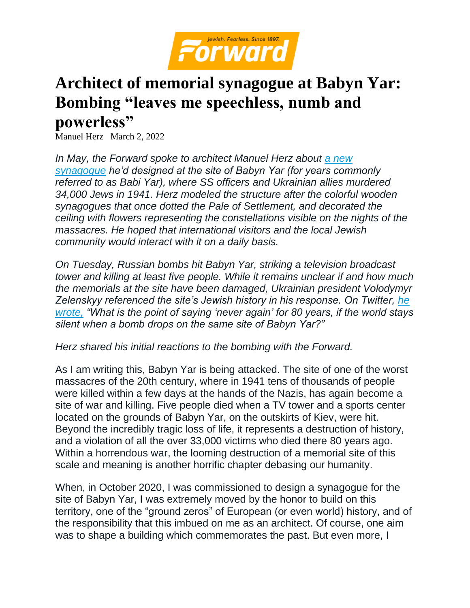

## **Architect of memorial synagogue at Babyn Yar: Bombing "leaves me speechless, numb and powerless"**

Manuel Herz March 2, 2022

*In May, the Forward spoke to architect Manuel Herz about [a new](https://forward.com/culture/469364/babi-yar-is-an-infamous-site-of-jewish-death-with-a-new-synagogue-this/)  [synagogue](https://forward.com/culture/469364/babi-yar-is-an-infamous-site-of-jewish-death-with-a-new-synagogue-this/) he'd designed at the site of Babyn Yar (for years commonly referred to as Babi Yar), where SS officers and Ukrainian allies murdered 34,000 Jews in 1941. Herz modeled the structure after the colorful wooden synagogues that once dotted the Pale of Settlement, and decorated the ceiling with flowers representing the constellations visible on the nights of the massacres. He hoped that international visitors and the local Jewish community would interact with it on a daily basis.*

*On Tuesday, Russian bombs hit Babyn Yar, striking a television broadcast tower and killing at least five people. While it remains unclear if and how much the memorials at the site have been damaged, Ukrainian president Volodymyr Zelenskyy referenced the site's Jewish history in his response. On Twitter, [he](https://twitter.com/ZelenskyyUa/status/1498697538085568514?s=20&t=1_PcT1msR-KvwDuFptFd7g)  [wrote,](https://twitter.com/ZelenskyyUa/status/1498697538085568514?s=20&t=1_PcT1msR-KvwDuFptFd7g) "What is the point of saying 'never again' for 80 years, if the world stays silent when a bomb drops on the same site of Babyn Yar?"*

*Herz shared his initial reactions to the bombing with the Forward.*

As I am writing this, Babyn Yar is being attacked. The site of one of the worst massacres of the 20th century, where in 1941 tens of thousands of people were killed within a few days at the hands of the Nazis, has again become a site of war and killing. Five people died when a TV tower and a sports center located on the grounds of Babyn Yar, on the outskirts of Kiev, were hit. Beyond the incredibly tragic loss of life, it represents a destruction of history, and a violation of all the over 33,000 victims who died there 80 years ago. Within a horrendous war, the looming destruction of a memorial site of this scale and meaning is another horrific chapter debasing our humanity.

When, in October 2020, I was commissioned to design a synagogue for the site of Babyn Yar, I was extremely moved by the honor to build on this territory, one of the "ground zeros" of European (or even world) history, and of the responsibility that this imbued on me as an architect. Of course, one aim was to shape a building which commemorates the past. But even more, I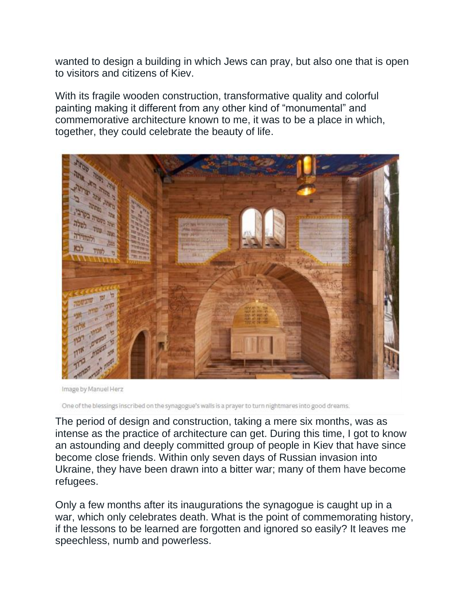wanted to design a building in which Jews can pray, but also one that is open to visitors and citizens of Kiev.

With its fragile wooden construction, transformative quality and colorful painting making it different from any other kind of "monumental" and commemorative architecture known to me, it was to be a place in which, together, they could celebrate the beauty of life.



Image by Manuel Herz

One of the blessings inscribed on the synagogue's walls is a prayer to turn nightmares into good dreams.

The period of design and construction, taking a mere six months, was as intense as the practice of architecture can get. During this time, I got to know an astounding and deeply committed group of people in Kiev that have since become close friends. Within only seven days of Russian invasion into Ukraine, they have been drawn into a bitter war; many of them have become refugees.

Only a few months after its inaugurations the synagogue is caught up in a war, which only celebrates death. What is the point of commemorating history, if the lessons to be learned are forgotten and ignored so easily? It leaves me speechless, numb and powerless.